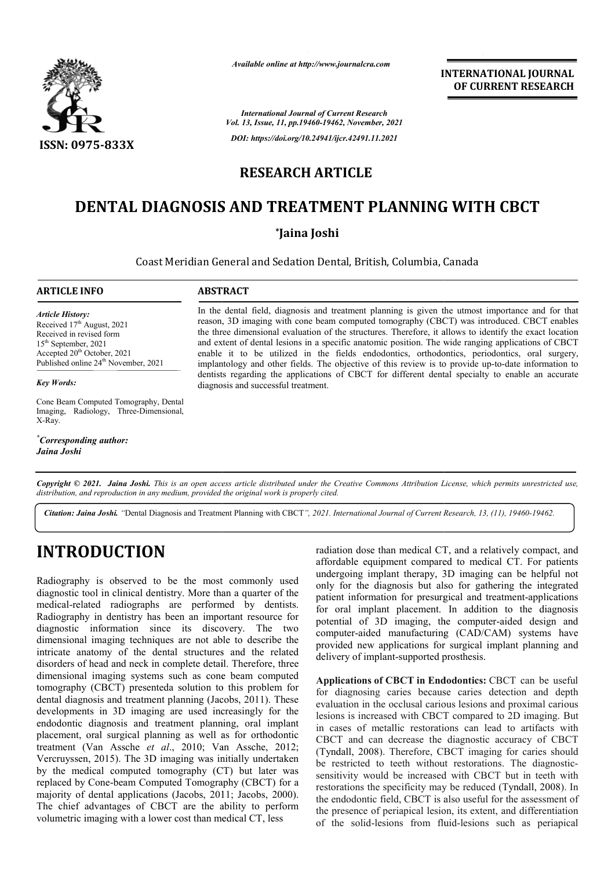

*Available online at http://www.journalcra.com*

**INTERNATIONAL JOURNAL OF CURRENT RESEARCH**

*International Journal of Current Research Vol. 13, Issue, 11, pp.19460-19462, November, 2021 DOI: https://doi.org/10.24941/ijcr.42491.11.2021*

## **RESEARCH ARTICLE**

## **DENTAL DIAGNOSIS AND TREATMENT PLANNING WITH CBCT**

### **\*Jaina Joshi**

Coast Meridian General and Sedation Dental, British, Columbia, Canada ,

### **ARTICLE INFO ABSTRACT**

*Article History: Article History:* Received 17<sup>th</sup> August, 2021 Received in revised form Received in revised form Received in revised form<br>15<sup>th</sup> September, 2021 Accepted  $20^{th}$  October, 2021 Published online 24<sup>th</sup> November, 2021

*Key Words:*

Cone Beam Computed Tomography, Dental Imaging, Radiology, Three-Dimensional, X-Ray.

*\* Corresponding author: Jaina Joshi*

In the dental field, diagnosis and treatment planning is given the utmost importance and for that reason, 3D imaging with cone beam computed tomography (CBCT) was introduced. CBCT enables the three dimensional evaluation of the structures. Therefore, it allows to identify the exact location and extent of dental lesions in a specific anatomic position. The wide ranging applications of CBCT enable it to be utilized in the fields endodontics, orthodontics, periodontics, oral surgery, implantology and other fields. The objective of this review is to provide up dentists regarding the applications of CBCT for different dental specialty to enable an accurate diagnosis and successful treatment. In the dental field, diagnosis and treatment planning is given the utmost importance and for that reason, 3D imaging with cone beam computed tomography (CBCT) was introduced. CBCT enables the three dimensional evaluation o

Copyright © 2021. Jaina Joshi. This is an open access article distributed under the Creative Commons Attribution License, which permits unrestricted use, *distribution, and reproduction in any medium, provided the original work is properly cited.*

Citation: Jaina Joshi. "Dental Diagnosis and Treatment Planning with CBCT", 2021. International Journal of Current Research, 13, (11), 19460-19462.

# **INTRODUCTION**

Radiography is observed to be the most commonly used diagnostic tool in clinical dentistry. More than a quarter of the medical-related radiographs are performed by dentists. Radiography in dentistry has been an important resource for diagnostic information since its discovery. The two dimensional imaging techniques are not able to describe the intricate anatomy of the dental structures and the related disorders of head and neck in complete detail. Therefore, three dimensional imaging systems such as cone beam computed tomography (CBCT) presenteda solution to this proble dental diagnosis and treatment planning (Jacobs, 2011). These developments in 3D imaging are used increasingly for the endodontic diagnosis and treatment planning, oral implant placement, oral surgical planning as well as for orthodontic treatment (Van Assche et al., 2010; Van Assche, 2012; Vercruyssen, 2015). The 3D imaging was initially undertaken by the medical computed tomography (CT) but later was replaced by Cone-beam Computed Tomography (CBCT) for a Vercruyssen, 2015). The 3D imaging was initially undertaken<br>by the medical computed tomography (CT) but later was<br>replaced by Cone-beam Computed Tomography (CBCT) for a<br>majority of dental applications (Jacobs, 2011; Jacobs The chief advantages of CBCT are the ability to perform volumetric imaging with a lower cost than medical CT, less related radiographs are performed by dentists.<br>
uphy in dentistry has been an important resource for<br>
ic information since its discovery. The two<br>
onal imaging techniques are not able to describe the<br>
anatomy of the dental radiation dose than medical CT, and a relatively compact, and radiation dose than medical CT, and a relatively compact, and<br>affordable equipment compared to medical CT. For patients undergoing implant therapy, 3D imaging can be helpful not only for the diagnosis but also for gathering the integrated only for the diagnosis but also for gathering the integrated patient information for presurgical and treatment-applications for oral implant placement. In addition to the diagnosis for oral implant placement. In addition to the diagnosis potential of 3D imaging, the computer-aided design and computer-aided manufacturing (CAD/CAM) systems have provided new applications for surgical implant planning and delivery of implant-supported prosthesis. aided manufacturing (CAD/CAM)<br>new applications for surgical implar<br>f implant-supported prosthesis.

**Applications of CBCT in Endodontics CBCT in Endodontics:** CBCT can be useful for diagnosing caries because caries detection and depth evaluation in the occlusal carious lesions and proximal carious lesions is increased with CBCT compared to 2D imaging. But in cases of metallic restorations can lead to artifacts with CBCT and can decrease the diagnostic accuracy of CBCT (Tyndall, 2008). Therefore, CBCT imaging for caries should be restricted to teeth without restorations. The diagnosticsensitivity would be increased with CBCT but in teeth with sensitivity would be increased with CBCT but in teeth with restorations the specificity may be reduced (Tyndall, 2008). In the endodontic field, CBCT is also useful for the assessment of the presence of periapical lesion, its extent, and differentiation the endodontic field, CBCT is also useful for the assessment of the presence of periapical lesion, its extent, and differentiation of the solid-lesions from fluid-lesions such as periapical g caries because caries detection and depth<br>he occlusal carious lesions and proximal carious<br>eased with CBCT compared to 2D imaging. But<br>netallic restorations can lead to artifacts with<br>n decrease the diagnostic accuracy o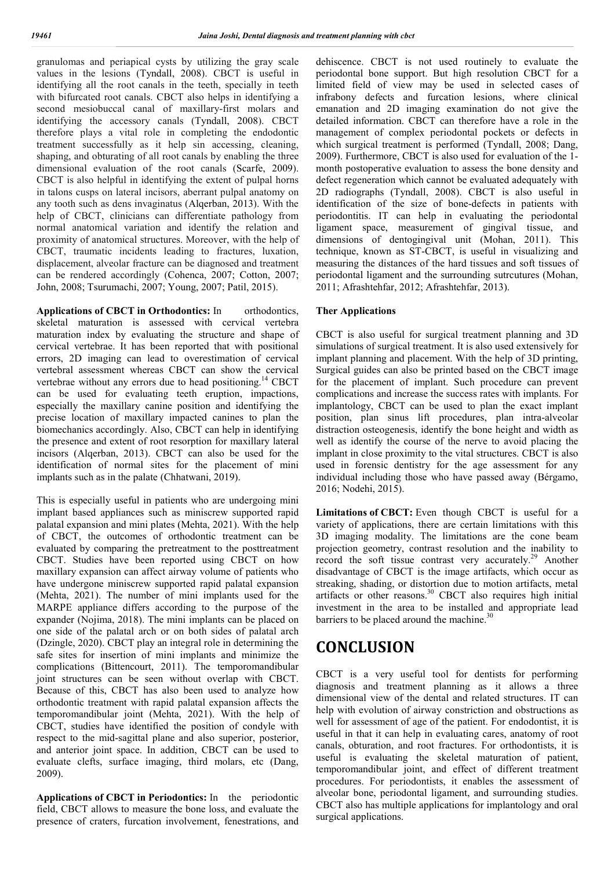granulomas and periapical cysts by utilizing the gray scale values in the lesions (Tyndall, 2008). CBCT is useful in identifying all the root canals in the teeth, specially in teeth with bifurcated root canals. CBCT also helps in identifying a second mesiobuccal canal of maxillary-first molars and identifying the accessory canals (Tyndall, 2008). CBCT therefore plays a vital role in completing the endodontic treatment successfully as it help sin accessing, cleaning, shaping, and obturating of all root canals by enabling the three dimensional evaluation of the root canals (Scarfe, 2009). CBCT is also helpful in identifying the extent of pulpal horns in talons cusps on lateral incisors, aberrant pulpal anatomy on any tooth such as dens invaginatus (Alqerban, 2013). With the help of CBCT, clinicians can differentiate pathology from normal anatomical variation and identify the relation and proximity of anatomical structures. Moreover, with the help of CBCT, traumatic incidents leading to fractures, luxation, displacement, alveolar fracture can be diagnosed and treatment can be rendered accordingly (Cohenca, 2007; Cotton, 2007; John, 2008; Tsurumachi, 2007; Young, 2007; Patil, 2015).

**Applications of CBCT in Orthodontics:** In orthodontics, skeletal maturation is assessed with cervical vertebra maturation index by evaluating the structure and shape of cervical vertebrae. It has been reported that with positional errors, 2D imaging can lead to overestimation of cervical vertebral assessment whereas CBCT can show the cervical vertebrae without any errors due to head positioning.<sup>14</sup> CBCT can be used for evaluating teeth eruption, impactions, especially the maxillary canine position and identifying the precise location of maxillary impacted canines to plan the biomechanics accordingly. Also, CBCT can help in identifying the presence and extent of root resorption for maxillary lateral incisors (Alqerban, 2013). CBCT can also be used for the identification of normal sites for the placement of mini implants such as in the palate (Chhatwani, 2019).

This is especially useful in patients who are undergoing mini implant based appliances such as miniscrew supported rapid palatal expansion and mini plates (Mehta, 2021). With the help of CBCT, the outcomes of orthodontic treatment can be evaluated by comparing the pretreatment to the posttreatment CBCT. Studies have been reported using CBCT on how maxillary expansion can affect airway volume of patients who have undergone miniscrew supported rapid palatal expansion (Mehta, 2021). The number of mini implants used for the MARPE appliance differs according to the purpose of the expander (Nojima, 2018). The mini implants can be placed on one side of the palatal arch or on both sides of palatal arch (Dzingle, 2020). CBCT play an integral role in determining the safe sites for insertion of mini implants and minimize the complications (Bittencourt, 2011). The temporomandibular joint structures can be seen without overlap with CBCT. Because of this, CBCT has also been used to analyze how orthodontic treatment with rapid palatal expansion affects the temporomandibular joint (Mehta, 2021). With the help of CBCT, studies have identified the position of condyle with respect to the mid-sagittal plane and also superior, posterior, and anterior joint space. In addition, CBCT can be used to evaluate clefts, surface imaging, third molars, etc (Dang, 2009).

**Applications of CBCT in Periodontics:** In the periodontic field, CBCT allows to measure the bone loss, and evaluate the presence of craters, furcation involvement, fenestrations, and dehiscence. CBCT is not used routinely to evaluate the periodontal bone support. But high resolution CBCT for a limited field of view may be used in selected cases of infrabony defects and furcation lesions, where clinical emanation and 2D imaging examination do not give the detailed information. CBCT can therefore have a role in the management of complex periodontal pockets or defects in which surgical treatment is performed (Tyndall, 2008; Dang, 2009). Furthermore, CBCT is also used for evaluation of the 1 month postoperative evaluation to assess the bone density and defect regeneration which cannot be evaluated adequately with 2D radiographs (Tyndall, 2008). CBCT is also useful in identification of the size of bone-defects in patients with periodontitis. IT can help in evaluating the periodontal ligament space, measurement of gingival tissue, and dimensions of dentogingival unit (Mohan, 2011). This technique, known as ST-CBCT, is useful in visualizing and measuring the distances of the hard tissues and soft tissues of periodontal ligament and the surrounding sutrcutures (Mohan, 2011; Afrashtehfar, 2012; Afrashtehfar, 2013).

### **Ther Applications**

CBCT is also useful for surgical treatment planning and 3D simulations of surgical treatment. It is also used extensively for implant planning and placement. With the help of 3D printing, Surgical guides can also be printed based on the CBCT image for the placement of implant. Such procedure can prevent complications and increase the success rates with implants. For implantology, CBCT can be used to plan the exact implant position, plan sinus lift procedures, plan intra-alveolar distraction osteogenesis, identify the bone height and width as well as identify the course of the nerve to avoid placing the implant in close proximity to the vital structures. CBCT is also used in forensic dentistry for the age assessment for any individual including those who have passed away (Bérgamo, 2016; Nodehi, 2015).

Limitations of CBCT: Even though CBCT is useful for a variety of applications, there are certain limitations with this 3D imaging modality. The limitations are the cone beam projection geometry, contrast resolution and the inability to record the soft tissue contrast very accurately.<sup>29</sup> Another disadvantage of CBCT is the image artifacts, which occur as streaking, shading, or distortion due to motion artifacts, metal artifacts or other reasons.<sup>30</sup> CBCT also requires high initial investment in the area to be installed and appropriate lead barriers to be placed around the machine.<sup>30</sup>

## **CONCLUSION**

CBCT is a very useful tool for dentists for performing diagnosis and treatment planning as it allows a three dimensional view of the dental and related structures. IT can help with evolution of airway constriction and obstructions as well for assessment of age of the patient. For endodontist, it is useful in that it can help in evaluating cares, anatomy of root canals, obturation, and root fractures. For orthodontists, it is useful is evaluating the skeletal maturation of patient, temporomandibular joint, and effect of different treatment procedures. For periodontists, it enables the assessment of alveolar bone, periodontal ligament, and surrounding studies. CBCT also has multiple applications for implantology and oral surgical applications.